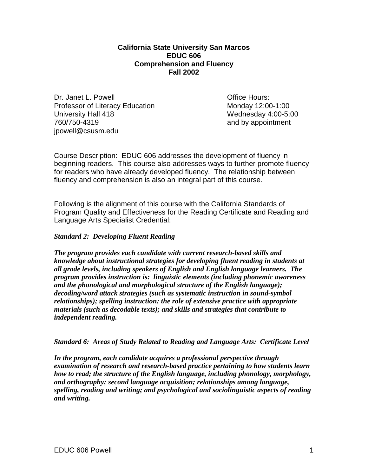**California State University San Marcos EDUC 606 Comprehension and Fluency Fall 2002**

Dr. Janet L. Powell **Dr. Janet L. Powell** Professor of Literacy Education Monday 12:00-1:00 University Hall 418 Wednesday 4:00-5:00<br>
760/750-4319 and by appointment jpowell@csusm.edu

and by appointment

Course Description: EDUC 606 addresses the development of fluency in beginning readers. This course also addresses ways to further promote fluency for readers who have already developed fluency. The relationship between fluency and comprehension is also an integral part of this course.

Following is the alignment of this course with the California Standards of Program Quality and Effectiveness for the Reading Certificate and Reading and Language Arts Specialist Credential:

### *Standard 2: Developing Fluent Reading*

*The program provides each candidate with current research-based skills and knowledge about instructional strategies for developing fluent reading in students at all grade levels, including speakers of English and English language learners. The program provides instruction is: linguistic elements (including phonemic awareness and the phonological and morphological structure of the English language); decoding/word attack strategies (such as systematic instruction in sound-symbol relationships); spelling instruction; the role of extensive practice with appropriate materials (such as decodable texts); and skills and strategies that contribute to independent reading.*

*Standard 6: Areas of Study Related to Reading and Language Arts: Certificate Level*

*In the program, each candidate acquires a professional perspective through examination of research and research-based practice pertaining to how students learn how to read; the structure of the English language, including phonology, morphology, and orthography; second language acquisition; relationships among language, spelling, reading and writing; and psychological and sociolinguistic aspects of reading and writing.*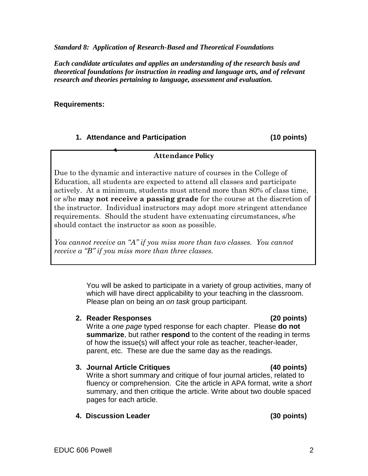*Standard 8: Application of Research-Based and Theoretical Foundations*

*Each candidate articulates and applies an understanding of the research basis and theoretical foundations for instruction in reading and language arts, and of relevant research and theories pertaining to language, assessment and evaluation.*

### **Requirements:**

## **1. Attendance and Participation (10 points)**

Due to the dynamic and interactive nature of courses in the College of Education, all students are expected to attend all classes and participate actively. At a minimum, students must attend more than 80% of class time,

**Attendance Policy**

or s/he **may not receive a passing grade** for the course at the discretion of the instructor. Individual instructors may adopt more stringent attendance requirements. Should the student have extenuating circumstances, s/he should contact the instructor as soon as possible.

*You cannot receive an "A" if you miss more than two classes. You cannot receive a "B" if you miss more than three classes.*

> You will be asked to participate in a variety of group activities, many of which will have direct applicability to your teaching in the classroom. Please plan on being an *on task* group participant.

**2. Reader Responses (20 points)**  Write a *one page* typed response for each chapter. Please **do not summarize**, but rather **respond** to the content of the reading in terms of how the issue(s) will affect your role as teacher, teacher-leader, parent, etc. These are due the same day as the readings.

## **3. Journal Article Critiques (40 points)**

Write a short summary and critique of four journal articles, related to fluency or comprehension. Cite the article in APA format, write a *short* summary, and then critique the article. Write about two double spaced pages for each article.

**4. Discussion Leader (30 points)**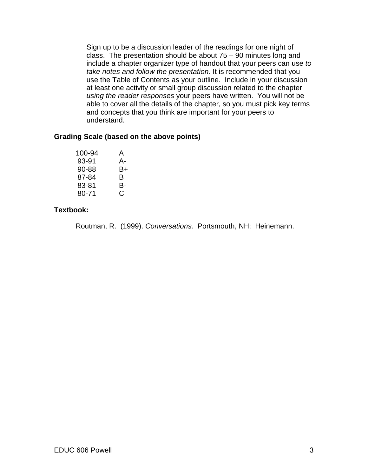Sign up to be a discussion leader of the readings for one night of class. The presentation should be about  $75 - 90$  minutes long and include a chapter organizer type of handout that your peers can use *to take notes and follow the presentation.* It is recommended that you use the Table of Contents as your outline. Include in your discussion at least one activity or small group discussion related to the chapter *using the reader responses* your peers have written. You will not be able to cover all the details of the chapter, so you must pick key terms and concepts that you think are important for your peers to understand.

## **Grading Scale (based on the above points)**

| 100-94 | A  |
|--------|----|
| 93-91  | А- |
| 90-88  | B+ |
| 87-84  | в  |
| 83-81  | B- |
| 80-71  | C  |

# **Textbook:**

Routman, R. (1999). *Conversations.* Portsmouth, NH: Heinemann.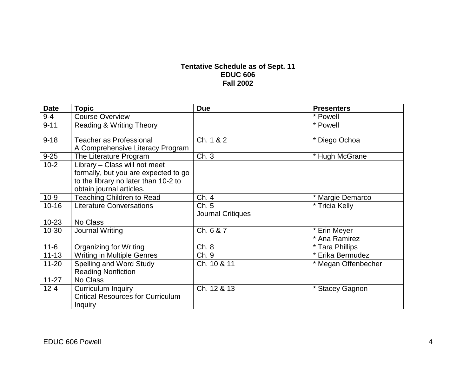# **Tentative Schedule as of Sept. 11 EDUC 606 Fall 2002**

| <b>Date</b> | <b>Topic</b>                                                                                                                              | <b>Due</b>                        | <b>Presenters</b>             |
|-------------|-------------------------------------------------------------------------------------------------------------------------------------------|-----------------------------------|-------------------------------|
| $9 - 4$     | <b>Course Overview</b>                                                                                                                    |                                   | * Powell                      |
| $9 - 11$    | Reading & Writing Theory                                                                                                                  |                                   | * Powell                      |
| $9 - 18$    | <b>Teacher as Professional</b><br>A Comprehensive Literacy Program                                                                        | Ch. 1 & 2                         | * Diego Ochoa                 |
| $9 - 25$    | The Literature Program                                                                                                                    | Ch.3                              | * Hugh McGrane                |
| $10-2$      | Library - Class will not meet<br>formally, but you are expected to go<br>to the library no later than 10-2 to<br>obtain journal articles. |                                   |                               |
| $10 - 9$    | <b>Teaching Children to Read</b>                                                                                                          | Ch. 4                             | * Margie Demarco              |
| $10 - 16$   | <b>Literature Conversations</b>                                                                                                           | Ch. 5<br><b>Journal Critiques</b> | * Tricia Kelly                |
| $10 - 23$   | No Class                                                                                                                                  |                                   |                               |
| 10-30       | Journal Writing                                                                                                                           | Ch. 6 & 7                         | * Erin Meyer<br>* Ana Ramirez |
| $11 - 6$    | Organizing for Writing                                                                                                                    | Ch. 8                             | * Tara Phillips               |
| $11 - 13$   | <b>Writing in Multiple Genres</b>                                                                                                         | Ch. 9                             | * Erika Bermudez              |
| $11 - 20$   | Spelling and Word Study<br><b>Reading Nonfiction</b>                                                                                      | Ch. 10 & 11                       | * Megan Offenbecher           |
| $11-27$     | No Class                                                                                                                                  |                                   |                               |
| $12 - 4$    | Curriculum Inquiry<br><b>Critical Resources for Curriculum</b><br><b>Inquiry</b>                                                          | Ch. 12 & 13                       | * Stacey Gagnon               |